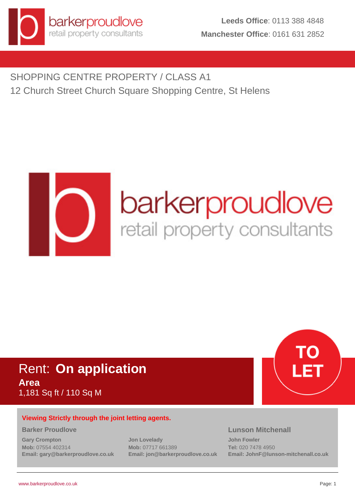

SHOPPING CENTRE PROPERTY / CLASS A1 12 Church Street Church Square Shopping Centre, St Helens



# Rent: **On application Area** 1,181 Sq ft / 110 Sq M

# **Viewing Strictly through the joint letting agents.**

#### **Barker Proudlove**

**Gary Crompton Mob:** 07554 402314 **Email: gary@barkerproudlove.co.uk** **Jon Lovelady Mob:** 07717 661389 **Email: jon@barkerproudlove.co.uk**

# **Lunson Mitchenall**

**John Fowler Tel:** 020 7478 4950 **Email: JohnF@lunson-mitchenall.co.uk**